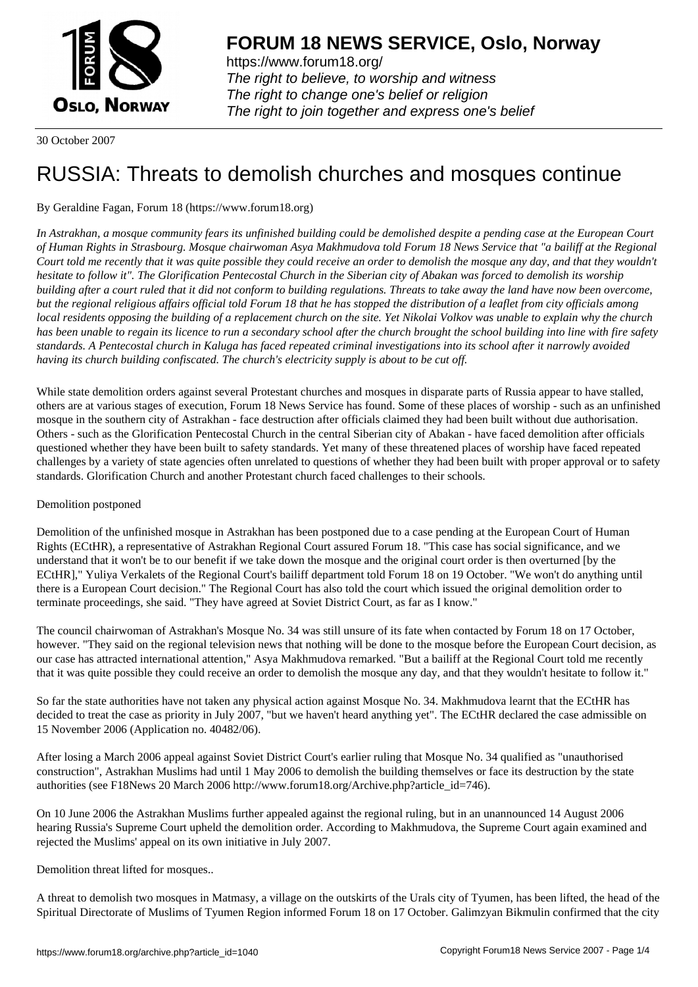

https://www.forum18.org/ The right to believe, to worship and witness The right to change one's belief or religion [The right to join together a](https://www.forum18.org/)nd express one's belief

30 October 2007

# [RUSSIA: Threa](https://www.forum18.org)ts to demolish churches and mosques continue

## By Geraldine Fagan, Forum 18 (https://www.forum18.org)

*In Astrakhan, a mosque community fears its unfinished building could be demolished despite a pending case at the European Court of Human Rights in Strasbourg. Mosque chairwoman Asya Makhmudova told Forum 18 News Service that "a bailiff at the Regional Court told me recently that it was quite possible they could receive an order to demolish the mosque any day, and that they wouldn't hesitate to follow it". The Glorification Pentecostal Church in the Siberian city of Abakan was forced to demolish its worship building after a court ruled that it did not conform to building regulations. Threats to take away the land have now been overcome, but the regional religious affairs official told Forum 18 that he has stopped the distribution of a leaflet from city officials among local residents opposing the building of a replacement church on the site. Yet Nikolai Volkov was unable to explain why the church has been unable to regain its licence to run a secondary school after the church brought the school building into line with fire safety standards. A Pentecostal church in Kaluga has faced repeated criminal investigations into its school after it narrowly avoided having its church building confiscated. The church's electricity supply is about to be cut off.*

While state demolition orders against several Protestant churches and mosques in disparate parts of Russia appear to have stalled, others are at various stages of execution, Forum 18 News Service has found. Some of these places of worship - such as an unfinished mosque in the southern city of Astrakhan - face destruction after officials claimed they had been built without due authorisation. Others - such as the Glorification Pentecostal Church in the central Siberian city of Abakan - have faced demolition after officials questioned whether they have been built to safety standards. Yet many of these threatened places of worship have faced repeated challenges by a variety of state agencies often unrelated to questions of whether they had been built with proper approval or to safety standards. Glorification Church and another Protestant church faced challenges to their schools.

### Demolition postponed

Demolition of the unfinished mosque in Astrakhan has been postponed due to a case pending at the European Court of Human Rights (ECtHR), a representative of Astrakhan Regional Court assured Forum 18. "This case has social significance, and we understand that it won't be to our benefit if we take down the mosque and the original court order is then overturned [by the ECtHR]," Yuliya Verkalets of the Regional Court's bailiff department told Forum 18 on 19 October. "We won't do anything until there is a European Court decision." The Regional Court has also told the court which issued the original demolition order to terminate proceedings, she said. "They have agreed at Soviet District Court, as far as I know."

The council chairwoman of Astrakhan's Mosque No. 34 was still unsure of its fate when contacted by Forum 18 on 17 October, however. "They said on the regional television news that nothing will be done to the mosque before the European Court decision, as our case has attracted international attention," Asya Makhmudova remarked. "But a bailiff at the Regional Court told me recently that it was quite possible they could receive an order to demolish the mosque any day, and that they wouldn't hesitate to follow it."

So far the state authorities have not taken any physical action against Mosque No. 34. Makhmudova learnt that the ECtHR has decided to treat the case as priority in July 2007, "but we haven't heard anything yet". The ECtHR declared the case admissible on 15 November 2006 (Application no. 40482/06).

After losing a March 2006 appeal against Soviet District Court's earlier ruling that Mosque No. 34 qualified as "unauthorised construction", Astrakhan Muslims had until 1 May 2006 to demolish the building themselves or face its destruction by the state authorities (see F18News 20 March 2006 http://www.forum18.org/Archive.php?article\_id=746).

On 10 June 2006 the Astrakhan Muslims further appealed against the regional ruling, but in an unannounced 14 August 2006 hearing Russia's Supreme Court upheld the demolition order. According to Makhmudova, the Supreme Court again examined and rejected the Muslims' appeal on its own initiative in July 2007.

#### Demolition threat lifted for mosques..

A threat to demolish two mosques in Matmasy, a village on the outskirts of the Urals city of Tyumen, has been lifted, the head of the Spiritual Directorate of Muslims of Tyumen Region informed Forum 18 on 17 October. Galimzyan Bikmulin confirmed that the city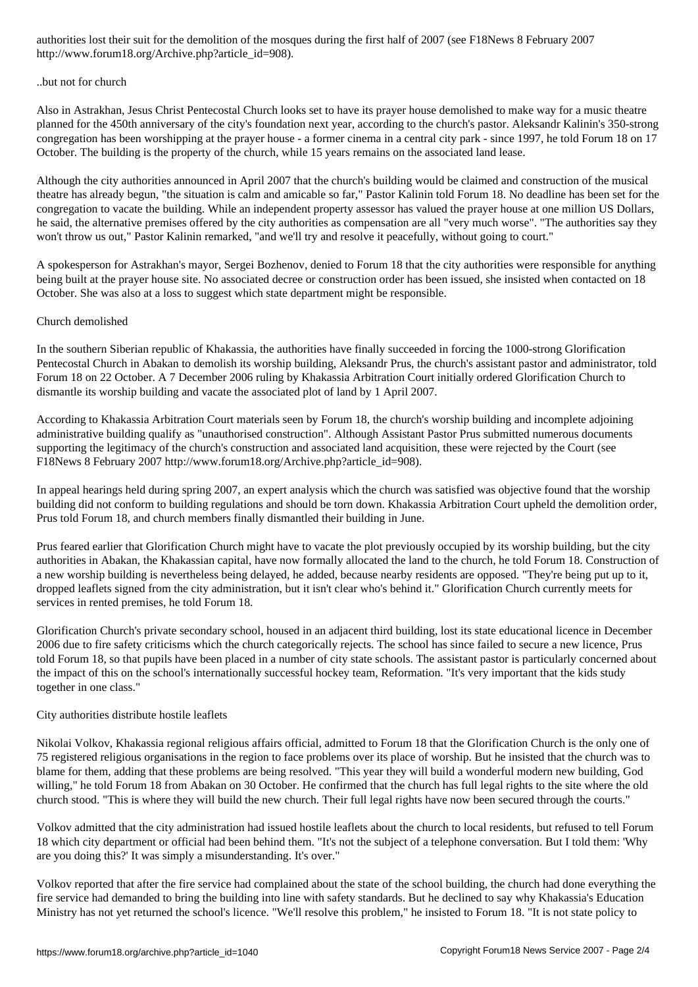#### ..but not for church

Also in Astrakhan, Jesus Christ Pentecostal Church looks set to have its prayer house demolished to make way for a music theatre planned for the 450th anniversary of the city's foundation next year, according to the church's pastor. Aleksandr Kalinin's 350-strong congregation has been worshipping at the prayer house - a former cinema in a central city park - since 1997, he told Forum 18 on 17 October. The building is the property of the church, while 15 years remains on the associated land lease.

Although the city authorities announced in April 2007 that the church's building would be claimed and construction of the musical theatre has already begun, "the situation is calm and amicable so far," Pastor Kalinin told Forum 18. No deadline has been set for the congregation to vacate the building. While an independent property assessor has valued the prayer house at one million US Dollars, he said, the alternative premises offered by the city authorities as compensation are all "very much worse". "The authorities say they won't throw us out," Pastor Kalinin remarked, "and we'll try and resolve it peacefully, without going to court."

A spokesperson for Astrakhan's mayor, Sergei Bozhenov, denied to Forum 18 that the city authorities were responsible for anything being built at the prayer house site. No associated decree or construction order has been issued, she insisted when contacted on 18 October. She was also at a loss to suggest which state department might be responsible.

#### Church demolished

In the southern Siberian republic of Khakassia, the authorities have finally succeeded in forcing the 1000-strong Glorification Pentecostal Church in Abakan to demolish its worship building, Aleksandr Prus, the church's assistant pastor and administrator, told Forum 18 on 22 October. A 7 December 2006 ruling by Khakassia Arbitration Court initially ordered Glorification Church to dismantle its worship building and vacate the associated plot of land by 1 April 2007.

According to Khakassia Arbitration Court materials seen by Forum 18, the church's worship building and incomplete adjoining administrative building qualify as "unauthorised construction". Although Assistant Pastor Prus submitted numerous documents supporting the legitimacy of the church's construction and associated land acquisition, these were rejected by the Court (see F18News 8 February 2007 http://www.forum18.org/Archive.php?article\_id=908).

In appeal hearings held during spring 2007, an expert analysis which the church was satisfied was objective found that the worship building did not conform to building regulations and should be torn down. Khakassia Arbitration Court upheld the demolition order, Prus told Forum 18, and church members finally dismantled their building in June.

Prus feared earlier that Glorification Church might have to vacate the plot previously occupied by its worship building, but the city authorities in Abakan, the Khakassian capital, have now formally allocated the land to the church, he told Forum 18. Construction of a new worship building is nevertheless being delayed, he added, because nearby residents are opposed. "They're being put up to it, dropped leaflets signed from the city administration, but it isn't clear who's behind it." Glorification Church currently meets for services in rented premises, he told Forum 18.

Glorification Church's private secondary school, housed in an adjacent third building, lost its state educational licence in December 2006 due to fire safety criticisms which the church categorically rejects. The school has since failed to secure a new licence, Prus told Forum 18, so that pupils have been placed in a number of city state schools. The assistant pastor is particularly concerned about the impact of this on the school's internationally successful hockey team, Reformation. "It's very important that the kids study together in one class."

#### City authorities distribute hostile leaflets

Nikolai Volkov, Khakassia regional religious affairs official, admitted to Forum 18 that the Glorification Church is the only one of 75 registered religious organisations in the region to face problems over its place of worship. But he insisted that the church was to blame for them, adding that these problems are being resolved. "This year they will build a wonderful modern new building, God willing," he told Forum 18 from Abakan on 30 October. He confirmed that the church has full legal rights to the site where the old church stood. "This is where they will build the new church. Their full legal rights have now been secured through the courts."

Volkov admitted that the city administration had issued hostile leaflets about the church to local residents, but refused to tell Forum 18 which city department or official had been behind them. "It's not the subject of a telephone conversation. But I told them: 'Why are you doing this?' It was simply a misunderstanding. It's over."

Volkov reported that after the fire service had complained about the state of the school building, the church had done everything the fire service had demanded to bring the building into line with safety standards. But he declined to say why Khakassia's Education Ministry has not yet returned the school's licence. "We'll resolve this problem," he insisted to Forum 18. "It is not state policy to